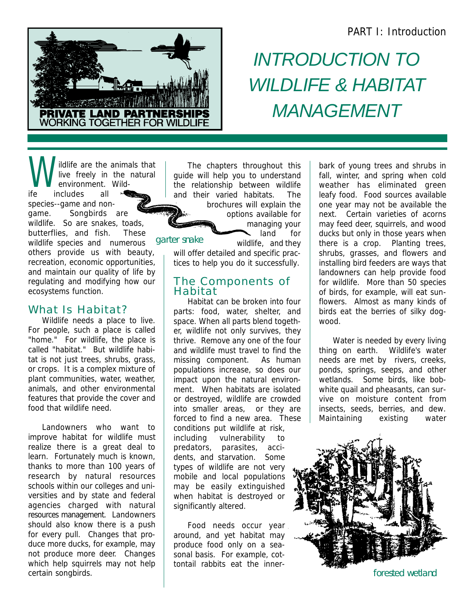#### PART I: Introduction



# *INTRODUCTION TO WILDLIFE & HABITAT MANAGEMENT*

W<sub>er</sub> ildlife are the animals that live freely in the natural environment. Wildife includes all species--game and nongame. Songbirds are wildlife. So are snakes, toads, butterflies, and fish. These wildlife species and numerous others provide us with beauty, recreation, economic opportunities, and maintain our quality of life by regulating and modifying how our ecosystems function.

#### What Is Habitat?

Wildlife needs a place to live. For people, such a place is called "home." For wildlife, the place is called "habitat." But wildlife habitat is not just trees, shrubs, grass, or crops. It is a complex mixture of plant communities, water, weather, animals, and other environmental features that provide the cover and food that wildlife need.

Landowners who want to improve habitat for wildlife must realize there is a great deal to learn. Fortunately much is known, thanks to more than 100 years of research by natural resources schools within our colleges and universities and by state and federal agencies charged with natural resources management. Landowners should also know there is a push for every pull. Changes that produce more ducks, for example, may not produce more deer. Changes which help squirrels may not help certain songbirds.

The chapters throughout this guide will help you to understand the relationship between wildlife and their varied habitats. The brochures will explain the

options available for managing your land for

garter snake

wildlife, and they will offer detailed and specific practices to help you do it successfully.

#### The Components of Habitat

Habitat can be broken into four parts: food, water, shelter, and space. When all parts blend together, wildlife not only survives, they thrive. Remove any one of the four and wildlife must travel to find the missing component. As human populations increase, so does our impact upon the natural environment. When habitats are isolated or destroyed, wildlife are crowded into smaller areas, or they are forced to find a new area. These conditions put wildlife at risk, including vulnerability to predators, parasites, accidents, and starvation. Some types of wildlife are not very mobile and local populations may be easily extinguished when habitat is destroyed or significantly altered.

Food needs occur year around, and yet habitat may produce food only on a seasonal basis. For example, cottontail rabbits eat the innerbark of young trees and shrubs in fall, winter, and spring when cold weather has eliminated green leafy food. Food sources available one year may not be available the next. Certain varieties of acorns may feed deer, squirrels, and wood ducks but only in those years when there is a crop. Planting trees, shrubs, grasses, and flowers and installing bird feeders are ways that landowners can help provide food for wildlife. More than 50 species of birds, for example, will eat sunflowers. Almost as many kinds of birds eat the berries of silky dogwood.

Water is needed by every living thing on earth. Wildlife's water needs are met by rivers, creeks, ponds, springs, seeps, and other wetlands. Some birds, like bobwhite quail and pheasants, can survive on moisture content from insects, seeds, berries, and dew. Maintaining existing water



forested wetland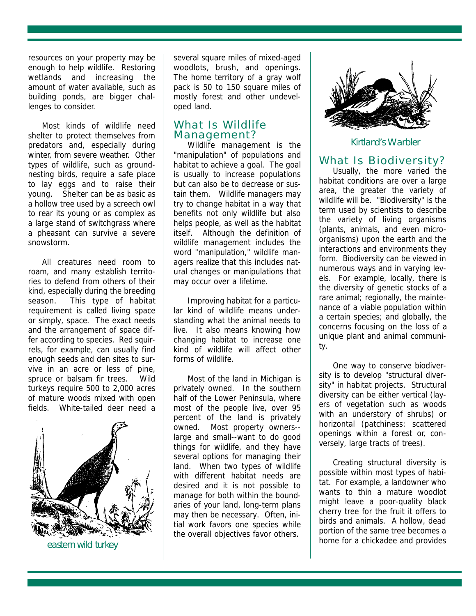resources on your property may be enough to help wildlife. Restoring wetlands and increasing the amount of water available, such as building ponds, are bigger challenges to consider.

Most kinds of wildlife need shelter to protect themselves from predators and, especially during winter, from severe weather. Other types of wildlife, such as groundnesting birds, require a safe place to lay eggs and to raise their young. Shelter can be as basic as a hollow tree used by a screech owl to rear its young or as complex as a large stand of switchgrass where a pheasant can survive a severe snowstorm.

All creatures need room to roam, and many establish territories to defend from others of their kind, especially during the breeding season. This type of habitat requirement is called living space or simply, space. The exact needs and the arrangement of space differ according to species. Red squirrels, for example, can usually find enough seeds and den sites to survive in an acre or less of pine, spruce or balsam fir trees. Wild turkeys require 500 to 2,000 acres of mature woods mixed with open fields. White-tailed deer need a



several square miles of mixed-aged woodlots, brush, and openings. The home territory of a gray wolf pack is 50 to 150 square miles of mostly forest and other undeveloped land.

#### What Is Wildlife Management?

Wildlife management is the "manipulation" of populations and habitat to achieve a goal. The goal is usually to increase populations but can also be to decrease or sustain them. Wildlife managers may try to change habitat in a way that benefits not only wildlife but also helps people, as well as the habitat itself. Although the definition of wildlife management includes the word "manipulation," wildlife managers realize that this includes natural changes or manipulations that may occur over a lifetime.

Improving habitat for a particular kind of wildlife means understanding what the animal needs to live. It also means knowing how changing habitat to increase one kind of wildlife will affect other forms of wildlife.

Most of the land in Michigan is privately owned. In the southern half of the Lower Peninsula, where most of the people live, over 95 percent of the land is privately owned. Most property owners- large and small--want to do good things for wildlife, and they have several options for managing their land. When two types of wildlife with different habitat needs are desired and it is not possible to manage for both within the boundaries of your land, long-term plans may then be necessary. Often, initial work favors one species while the overall objectives favor others.



#### Kirtland's Warbler

#### What Is Biodiversity?

Usually, the more varied the habitat conditions are over a large area, the greater the variety of wildlife will be. "Biodiversity" is the term used by scientists to describe the variety of living organisms (plants, animals, and even microorganisms) upon the earth and the interactions and environments they form. Biodiversity can be viewed in numerous ways and in varying levels. For example, locally, there is the diversity of genetic stocks of a rare animal; regionally, the maintenance of a viable population within a certain species; and globally, the concerns focusing on the loss of a unique plant and animal community.

One way to conserve biodiversity is to develop "structural diversity" in habitat projects. Structural diversity can be either vertical (layers of vegetation such as woods with an understory of shrubs) or horizontal (patchiness: scattered openings within a forest or, conversely, large tracts of trees).

Creating structural diversity is possible within most types of habitat. For example, a landowner who wants to thin a mature woodlot might leave a poor-quality black cherry tree for the fruit it offers to birds and animals. A hollow, dead portion of the same tree becomes a home for a chickadee and provides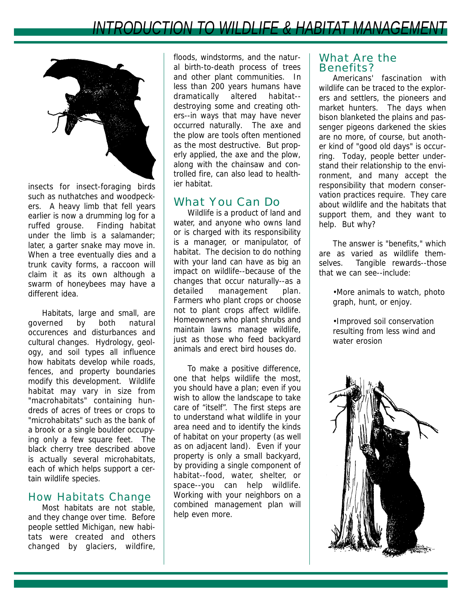

insects for insect-foraging birds such as nuthatches and woodpeckers. A heavy limb that fell years earlier is now a drumming log for a ruffed grouse. Finding habitat under the limb is a salamander; later, a garter snake may move in. When a tree eventually dies and a trunk cavity forms, a raccoon will claim it as its own although a swarm of honeybees may have a different idea.

Habitats, large and small, are governed by both natural occurences and disturbances and cultural changes. Hydrology, geology, and soil types all influence how habitats develop while roads, fences, and property boundaries modify this development. Wildlife habitat may vary in size from "macrohabitats" containing hundreds of acres of trees or crops to "microhabitats" such as the bank of a brook or a single boulder occupying only a few square feet. The black cherry tree described above is actually several microhabitats, each of which helps support a certain wildlife species.

#### How Habitats Change

Most habitats are not stable, and they change over time. Before people settled Michigan, new habitats were created and others changed by glaciers, wildfire,

floods, windstorms, and the natural birth-to-death process of trees and other plant communities. In less than 200 years humans have dramatically altered habitat- destroying some and creating others--in ways that may have never occurred naturally. The axe and the plow are tools often mentioned as the most destructive. But properly applied, the axe and the plow, along with the chainsaw and controlled fire, can also lead to healthier habitat.

### What You Can Do

Wildlife is a product of land and water, and anyone who owns land or is charged with its responsibility is a manager, or manipulator, of habitat. The decision to do nothing with your land can have as big an impact on wildlife--because of the changes that occur naturally--as a detailed management plan. Farmers who plant crops or choose not to plant crops affect wildlife. Homeowners who plant shrubs and maintain lawns manage wildlife, just as those who feed backyard animals and erect bird houses do.

To make a positive difference, one that helps wildlife the most, you should have a plan; even if you wish to allow the landscape to take care of "itself". The first steps are to understand what wildlife in your area need and to identify the kinds of habitat on your property (as well as on adjacent land). Even if your property is only a small backyard, by providing a single component of habitat--food, water, shelter, or space--you can help wildlife. Working with your neighbors on a combined management plan will help even more.

#### What Are the Benefits?

Americans' fascination with wildlife can be traced to the explorers and settlers, the pioneers and market hunters. The days when bison blanketed the plains and passenger pigeons darkened the skies are no more, of course, but another kind of "good old days" is occurring. Today, people better understand their relationship to the environment, and many accept the responsibility that modern conservation practices require. They care about wildlife and the habitats that support them, and they want to help. But why?

The answer is "benefits," which are as varied as wildlife themselves. Tangible rewards--those that we can see--include:

> •More animals to watch, photo graph, hunt, or enjoy.

•Improved soil conservation resulting from less wind and water erosion